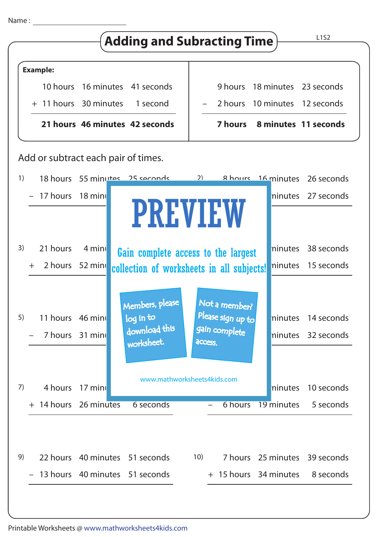